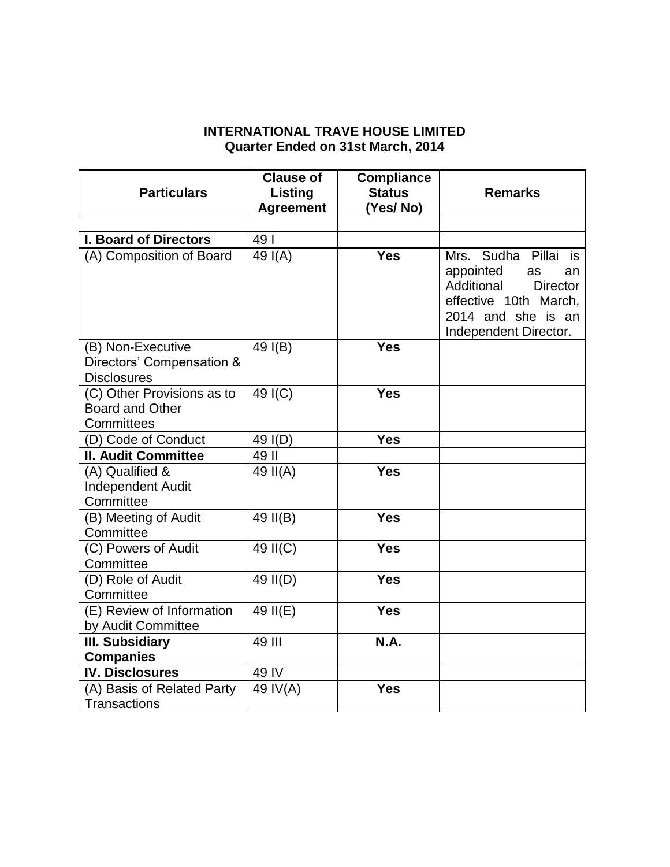## **INTERNATIONAL TRAVE HOUSE LIMITED Quarter Ended on 31st March, 2014**

| <b>Particulars</b>                                                   | <b>Clause of</b><br>Listing<br><b>Agreement</b> | <b>Compliance</b><br><b>Status</b><br>(Yes/ No) | <b>Remarks</b>                                                                                                                                            |
|----------------------------------------------------------------------|-------------------------------------------------|-------------------------------------------------|-----------------------------------------------------------------------------------------------------------------------------------------------------------|
|                                                                      |                                                 |                                                 |                                                                                                                                                           |
| <b>I. Board of Directors</b>                                         | 49                                              |                                                 |                                                                                                                                                           |
| (A) Composition of Board                                             | $\overline{49}$ I(A)                            | <b>Yes</b>                                      | Mrs. Sudha Pillai<br>is<br>appointed<br>as<br>an<br>Additional<br><b>Director</b><br>effective 10th March,<br>2014 and she is an<br>Independent Director. |
| (B) Non-Executive<br>Directors' Compensation &<br><b>Disclosures</b> | 49 I(B)                                         | <b>Yes</b>                                      |                                                                                                                                                           |
| (C) Other Provisions as to<br><b>Board and Other</b><br>Committees   | 49 I(C)                                         | <b>Yes</b>                                      |                                                                                                                                                           |
| (D) Code of Conduct                                                  | 49 I(D)                                         | <b>Yes</b>                                      |                                                                                                                                                           |
| <b>II. Audit Committee</b>                                           | 49 II                                           |                                                 |                                                                                                                                                           |
| (A) Qualified &<br><b>Independent Audit</b><br>Committee             | 49 II(A)                                        | <b>Yes</b>                                      |                                                                                                                                                           |
| (B) Meeting of Audit<br>Committee                                    | 49 II(B)                                        | <b>Yes</b>                                      |                                                                                                                                                           |
| (C) Powers of Audit<br>Committee                                     | $49$ II(C)                                      | <b>Yes</b>                                      |                                                                                                                                                           |
| (D) Role of Audit<br>Committee                                       | 49 II(D)                                        | <b>Yes</b>                                      |                                                                                                                                                           |
| (E) Review of Information<br>by Audit Committee                      | 49 II(E)                                        | <b>Yes</b>                                      |                                                                                                                                                           |
| <b>III. Subsidiary</b>                                               | 49 III                                          | N.A.                                            |                                                                                                                                                           |
| <b>Companies</b>                                                     |                                                 |                                                 |                                                                                                                                                           |
| <b>IV. Disclosures</b>                                               | 49 IV                                           |                                                 |                                                                                                                                                           |
| (A) Basis of Related Party<br><b>Transactions</b>                    | 49 IV(A)                                        | <b>Yes</b>                                      |                                                                                                                                                           |